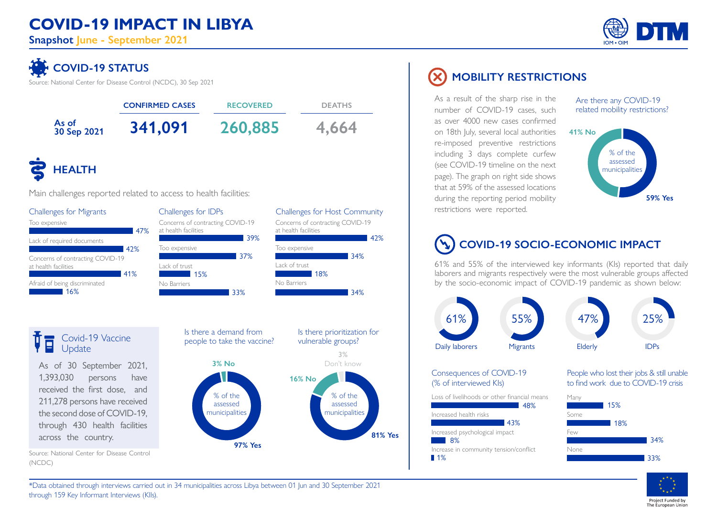## **COVID-19 IMPACT IN LIBYA**

**Snapshot June - September 2021**



# **COVID-19 STATUS**

Source: National Center for Disease Control (NCDC), 30 Sep 2021



#### Covid-19 Vaccine **Update**

As of 30 September 2021, 1,393,030 persons have received the first dose, and 211,278 persons have received the second dose of COVID-19, through 430 health facilities across the country.

Source: National Center for Disease Control

(NCDC)



## **MOBILITY RESTRICTIONS**

As a result of the sharp rise in the number of COVID-19 cases, such as over 4000 new cases confirmed on 18th July, several local authorities re-imposed preventive restrictions including 3 days complete curfew (see COVID-19 timeline on the next page). The graph on right side shows that at 59% of the assessed locations during the reporting period mobility restrictions were reported.

Are there any COVID-19 related mobility restrictions?



# **COVID-19 SOCIO-ECONOMIC IMPACT**

61% and 55% of the interviewed key informants (KIs) reported that daily laborers and migrants respectively were the most vulnerable groups affected by the socio-economic impact of COVID-19 pandemic as shown below:



#### Consequences of COVID-19 (% of interviewed KIs)

Loss of livelihoods or other financial means Many



People who lost their jobs & still unable to find work due to COVID-19 crisis





\*Data obtained through interviews carried out in 34 municipalities across Libya between 01 Jun and 30 September 2021 through 159 Key Informant Interviews (KIIs).